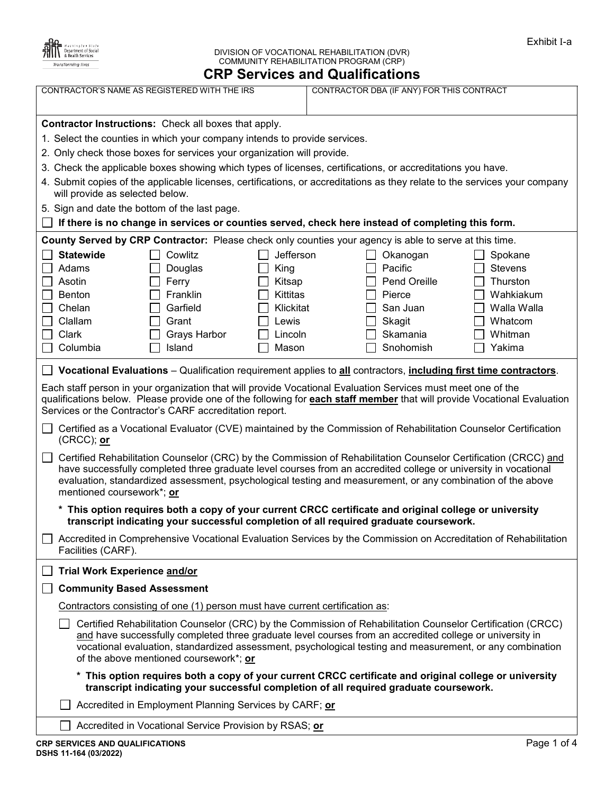

## DIVISION OF VOCATIONAL REHABILITATION (DVR) COMMUNITY REHABILITATION PROGRAM (CRP) **CRP Services and Qualifications**

|                                                                                                                                                                                                                                                                                                    |                                                                                                                                                                                                                                                                                                                                                                                                                                                                                                                                                                                                                                                                                                                                                      | <b>Port vices and guannounciers</b>                |                                                       |                                                          |
|----------------------------------------------------------------------------------------------------------------------------------------------------------------------------------------------------------------------------------------------------------------------------------------------------|------------------------------------------------------------------------------------------------------------------------------------------------------------------------------------------------------------------------------------------------------------------------------------------------------------------------------------------------------------------------------------------------------------------------------------------------------------------------------------------------------------------------------------------------------------------------------------------------------------------------------------------------------------------------------------------------------------------------------------------------------|----------------------------------------------------|-------------------------------------------------------|----------------------------------------------------------|
|                                                                                                                                                                                                                                                                                                    | CONTRACTOR'S NAME AS REGISTERED WITH THE IRS                                                                                                                                                                                                                                                                                                                                                                                                                                                                                                                                                                                                                                                                                                         |                                                    | CONTRACTOR DBA (IF ANY) FOR THIS CONTRACT             |                                                          |
| will provide as selected below.<br><b>Statewide</b><br>Adams                                                                                                                                                                                                                                       | <b>Contractor Instructions:</b> Check all boxes that apply.<br>1. Select the counties in which your company intends to provide services.<br>2. Only check those boxes for services your organization will provide.<br>3. Check the applicable boxes showing which types of licenses, certifications, or accreditations you have.<br>4. Submit copies of the applicable licenses, certifications, or accreditations as they relate to the services your company<br>5. Sign and date the bottom of the last page.<br>If there is no change in services or counties served, check here instead of completing this form.<br>County Served by CRP Contractor: Please check only counties your agency is able to serve at this time.<br>Cowlitz<br>Douglas | Jefferson<br>King                                  | Okanogan<br>Pacific                                   | Spokane<br><b>Stevens</b>                                |
| Asotin                                                                                                                                                                                                                                                                                             | Ferry                                                                                                                                                                                                                                                                                                                                                                                                                                                                                                                                                                                                                                                                                                                                                | Kitsap                                             | Pend Oreille                                          | Thurston                                                 |
| <b>Benton</b><br>Chelan<br>Clallam<br>Clark<br>Columbia                                                                                                                                                                                                                                            | Franklin<br>Garfield<br>Grant<br><b>Grays Harbor</b><br>Island                                                                                                                                                                                                                                                                                                                                                                                                                                                                                                                                                                                                                                                                                       | Kittitas<br>Klickitat<br>Lewis<br>Lincoln<br>Mason | Pierce<br>San Juan<br>Skagit<br>Skamania<br>Snohomish | Wahkiakum<br>Walla Walla<br>Whatcom<br>Whitman<br>Yakima |
|                                                                                                                                                                                                                                                                                                    | Vocational Evaluations – Qualification requirement applies to all contractors, including first time contractors.                                                                                                                                                                                                                                                                                                                                                                                                                                                                                                                                                                                                                                     |                                                    |                                                       |                                                          |
| Each staff person in your organization that will provide Vocational Evaluation Services must meet one of the<br>qualifications below. Please provide one of the following for each staff member that will provide Vocational Evaluation<br>Services or the Contractor's CARF accreditation report. |                                                                                                                                                                                                                                                                                                                                                                                                                                                                                                                                                                                                                                                                                                                                                      |                                                    |                                                       |                                                          |
| $(CRCC)$ ; or                                                                                                                                                                                                                                                                                      | Certified as a Vocational Evaluator (CVE) maintained by the Commission of Rehabilitation Counselor Certification                                                                                                                                                                                                                                                                                                                                                                                                                                                                                                                                                                                                                                     |                                                    |                                                       |                                                          |
| mentioned coursework*; or                                                                                                                                                                                                                                                                          | Certified Rehabilitation Counselor (CRC) by the Commission of Rehabilitation Counselor Certification (CRCC) and<br>have successfully completed three graduate level courses from an accredited college or university in vocational<br>evaluation, standardized assessment, psychological testing and measurement, or any combination of the above                                                                                                                                                                                                                                                                                                                                                                                                    |                                                    |                                                       |                                                          |
|                                                                                                                                                                                                                                                                                                    | * This option requires both a copy of your current CRCC certificate and original college or university<br>transcript indicating your successful completion of all required graduate coursework.                                                                                                                                                                                                                                                                                                                                                                                                                                                                                                                                                      |                                                    |                                                       |                                                          |
| Facilities (CARF).                                                                                                                                                                                                                                                                                 | Accredited in Comprehensive Vocational Evaluation Services by the Commission on Accreditation of Rehabilitation                                                                                                                                                                                                                                                                                                                                                                                                                                                                                                                                                                                                                                      |                                                    |                                                       |                                                          |
| <b>Trial Work Experience and/or</b>                                                                                                                                                                                                                                                                |                                                                                                                                                                                                                                                                                                                                                                                                                                                                                                                                                                                                                                                                                                                                                      |                                                    |                                                       |                                                          |
| <b>Community Based Assessment</b>                                                                                                                                                                                                                                                                  |                                                                                                                                                                                                                                                                                                                                                                                                                                                                                                                                                                                                                                                                                                                                                      |                                                    |                                                       |                                                          |
|                                                                                                                                                                                                                                                                                                    | Contractors consisting of one (1) person must have current certification as:                                                                                                                                                                                                                                                                                                                                                                                                                                                                                                                                                                                                                                                                         |                                                    |                                                       |                                                          |
|                                                                                                                                                                                                                                                                                                    | Certified Rehabilitation Counselor (CRC) by the Commission of Rehabilitation Counselor Certification (CRCC)<br>and have successfully completed three graduate level courses from an accredited college or university in<br>vocational evaluation, standardized assessment, psychological testing and measurement, or any combination<br>of the above mentioned coursework*; or                                                                                                                                                                                                                                                                                                                                                                       |                                                    |                                                       |                                                          |
|                                                                                                                                                                                                                                                                                                    | * This option requires both a copy of your current CRCC certificate and original college or university<br>transcript indicating your successful completion of all required graduate coursework.                                                                                                                                                                                                                                                                                                                                                                                                                                                                                                                                                      |                                                    |                                                       |                                                          |
|                                                                                                                                                                                                                                                                                                    | Accredited in Employment Planning Services by CARF; or                                                                                                                                                                                                                                                                                                                                                                                                                                                                                                                                                                                                                                                                                               |                                                    |                                                       |                                                          |
|                                                                                                                                                                                                                                                                                                    | Accredited in Vocational Service Provision by RSAS; or                                                                                                                                                                                                                                                                                                                                                                                                                                                                                                                                                                                                                                                                                               |                                                    |                                                       |                                                          |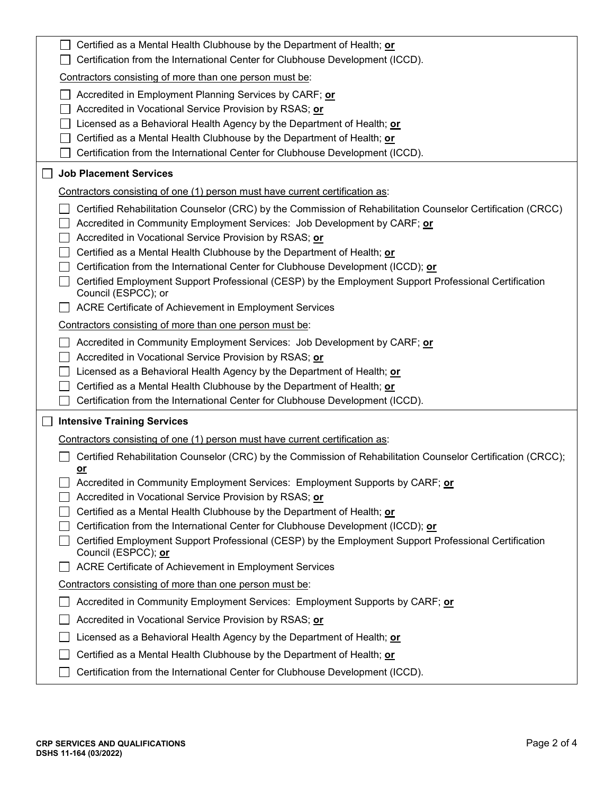|        | Certified as a Mental Health Clubhouse by the Department of Health; or<br>Certification from the International Center for Clubhouse Development (ICCD).                                                                                                                                                                                                                                                                                                                                                                                         |
|--------|-------------------------------------------------------------------------------------------------------------------------------------------------------------------------------------------------------------------------------------------------------------------------------------------------------------------------------------------------------------------------------------------------------------------------------------------------------------------------------------------------------------------------------------------------|
|        | Contractors consisting of more than one person must be:                                                                                                                                                                                                                                                                                                                                                                                                                                                                                         |
|        | Accredited in Employment Planning Services by CARF; or<br>Accredited in Vocational Service Provision by RSAS; or<br>Licensed as a Behavioral Health Agency by the Department of Health; or<br>Certified as a Mental Health Clubhouse by the Department of Health; or<br>Certification from the International Center for Clubhouse Development (ICCD).                                                                                                                                                                                           |
|        | <b>Job Placement Services</b>                                                                                                                                                                                                                                                                                                                                                                                                                                                                                                                   |
|        | Contractors consisting of one (1) person must have current certification as:                                                                                                                                                                                                                                                                                                                                                                                                                                                                    |
|        | Certified Rehabilitation Counselor (CRC) by the Commission of Rehabilitation Counselor Certification (CRCC)<br>Accredited in Community Employment Services: Job Development by CARF; or<br>Accredited in Vocational Service Provision by RSAS; or<br>Certified as a Mental Health Clubhouse by the Department of Health; or<br>Certification from the International Center for Clubhouse Development (ICCD); or<br>Certified Employment Support Professional (CESP) by the Employment Support Professional Certification<br>Council (ESPCC); or |
|        | ACRE Certificate of Achievement in Employment Services                                                                                                                                                                                                                                                                                                                                                                                                                                                                                          |
|        | Contractors consisting of more than one person must be:                                                                                                                                                                                                                                                                                                                                                                                                                                                                                         |
|        | Accredited in Community Employment Services: Job Development by CARF; or<br>Accredited in Vocational Service Provision by RSAS; or<br>Licensed as a Behavioral Health Agency by the Department of Health; or<br>Certified as a Mental Health Clubhouse by the Department of Health; or<br>Certification from the International Center for Clubhouse Development (ICCD).                                                                                                                                                                         |
| $\Box$ | <b>Intensive Training Services</b>                                                                                                                                                                                                                                                                                                                                                                                                                                                                                                              |
|        | Contractors consisting of one (1) person must have current certification as:<br>Certified Rehabilitation Counselor (CRC) by the Commission of Rehabilitation Counselor Certification (CRCC);<br><u>or</u><br>Accredited in Community Employment Services: Employment Supports by CARF; or<br>Accredited in Vocational Service Provision by RSAS; or                                                                                                                                                                                             |
|        | Certified as a Mental Health Clubhouse by the Department of Health; or<br>Certification from the International Center for Clubhouse Development (ICCD); or<br>Certified Employment Support Professional (CESP) by the Employment Support Professional Certification<br>Council (ESPCC); or                                                                                                                                                                                                                                                      |
|        | ACRE Certificate of Achievement in Employment Services                                                                                                                                                                                                                                                                                                                                                                                                                                                                                          |
|        | Contractors consisting of more than one person must be:                                                                                                                                                                                                                                                                                                                                                                                                                                                                                         |
|        | Accredited in Community Employment Services: Employment Supports by CARF; or                                                                                                                                                                                                                                                                                                                                                                                                                                                                    |
|        | Accredited in Vocational Service Provision by RSAS; or                                                                                                                                                                                                                                                                                                                                                                                                                                                                                          |
|        | Licensed as a Behavioral Health Agency by the Department of Health; or                                                                                                                                                                                                                                                                                                                                                                                                                                                                          |
|        | Certified as a Mental Health Clubhouse by the Department of Health; or<br>Certification from the International Center for Clubhouse Development (ICCD).                                                                                                                                                                                                                                                                                                                                                                                         |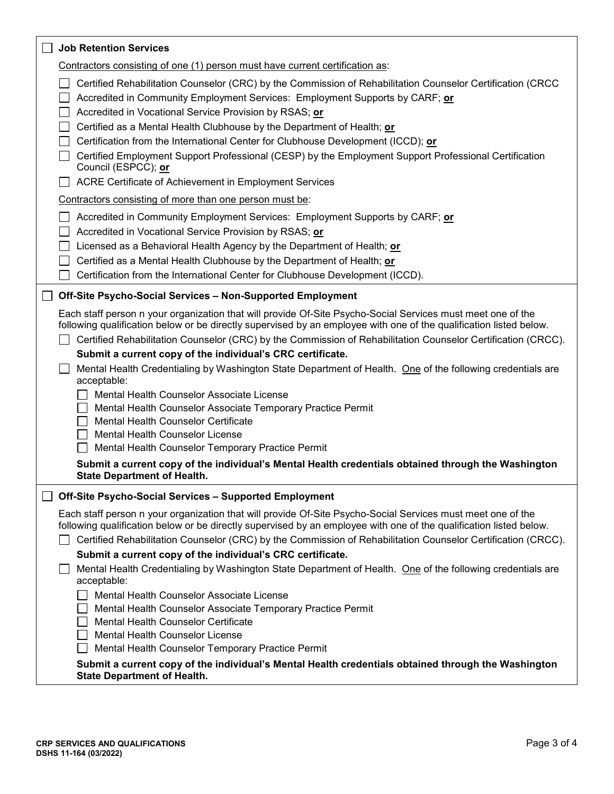| <b>Job Retention Services</b>                                                                                                                                                                                                                                                                                                                                                                                                                                                                                                                                                                                                                                                                                                                                                                                                                                                                                                                                                                                                                          |
|--------------------------------------------------------------------------------------------------------------------------------------------------------------------------------------------------------------------------------------------------------------------------------------------------------------------------------------------------------------------------------------------------------------------------------------------------------------------------------------------------------------------------------------------------------------------------------------------------------------------------------------------------------------------------------------------------------------------------------------------------------------------------------------------------------------------------------------------------------------------------------------------------------------------------------------------------------------------------------------------------------------------------------------------------------|
| Contractors consisting of one (1) person must have current certification as:                                                                                                                                                                                                                                                                                                                                                                                                                                                                                                                                                                                                                                                                                                                                                                                                                                                                                                                                                                           |
| Certified Rehabilitation Counselor (CRC) by the Commission of Rehabilitation Counselor Certification (CRCC<br>Accredited in Community Employment Services: Employment Supports by CARF; or<br>Accredited in Vocational Service Provision by RSAS; or<br>Certified as a Mental Health Clubhouse by the Department of Health; or<br>Certification from the International Center for Clubhouse Development (ICCD); or<br>Certified Employment Support Professional (CESP) by the Employment Support Professional Certification<br>Council (ESPCC); or<br>ACRE Certificate of Achievement in Employment Services<br>Contractors consisting of more than one person must be:<br>Accredited in Community Employment Services: Employment Supports by CARF; or<br>Accredited in Vocational Service Provision by RSAS; or<br>Licensed as a Behavioral Health Agency by the Department of Health; or<br>Certified as a Mental Health Clubhouse by the Department of Health; or<br>Certification from the International Center for Clubhouse Development (ICCD). |
| Off-Site Psycho-Social Services - Non-Supported Employment                                                                                                                                                                                                                                                                                                                                                                                                                                                                                                                                                                                                                                                                                                                                                                                                                                                                                                                                                                                             |
| Each staff person n your organization that will provide Of-Site Psycho-Social Services must meet one of the<br>following qualification below or be directly supervised by an employee with one of the qualification listed below.<br>Certified Rehabilitation Counselor (CRC) by the Commission of Rehabilitation Counselor Certification (CRCC).<br>Submit a current copy of the individual's CRC certificate.<br>Mental Health Credentialing by Washington State Department of Health. One of the following credentials are<br>acceptable:<br>Mental Health Counselor Associate License<br>Mental Health Counselor Associate Temporary Practice Permit<br>Mental Health Counselor Certificate<br>Mental Health Counselor License<br>Mental Health Counselor Temporary Practice Permit<br>Submit a current copy of the individual's Mental Health credentials obtained through the Washington<br><b>State Department of Health.</b>                                                                                                                   |
| Off-Site Psycho-Social Services - Supported Employment                                                                                                                                                                                                                                                                                                                                                                                                                                                                                                                                                                                                                                                                                                                                                                                                                                                                                                                                                                                                 |
| Each staff person n your organization that will provide Of-Site Psycho-Social Services must meet one of the<br>following qualification below or be directly supervised by an employee with one of the qualification listed below.<br>Certified Rehabilitation Counselor (CRC) by the Commission of Rehabilitation Counselor Certification (CRCC).<br>Submit a current copy of the individual's CRC certificate.<br>Mental Health Credentialing by Washington State Department of Health. One of the following credentials are<br>acceptable:<br>Mental Health Counselor Associate License                                                                                                                                                                                                                                                                                                                                                                                                                                                              |
| Mental Health Counselor Associate Temporary Practice Permit<br>Mental Health Counselor Certificate<br>Mental Health Counselor License<br>Mental Health Counselor Temporary Practice Permit                                                                                                                                                                                                                                                                                                                                                                                                                                                                                                                                                                                                                                                                                                                                                                                                                                                             |
| Submit a current copy of the individual's Mental Health credentials obtained through the Washington<br><b>State Department of Health.</b>                                                                                                                                                                                                                                                                                                                                                                                                                                                                                                                                                                                                                                                                                                                                                                                                                                                                                                              |